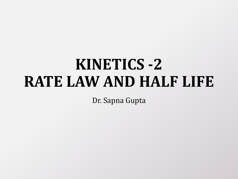# **KINETICS -2 RATE LAW AND HALF LIFE**

Dr. Sapna Gupta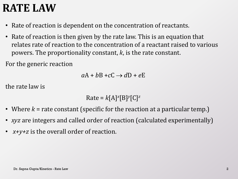#### **RATE LAW**

- Rate of reaction is dependent on the concentration of reactants.
- Rate of reaction is then given by the rate law. This is an equation that relates rate of reaction to the concentration of a reactant raised to various powers. The proportionality constant, *k*, is the rate constant.

For the generic reaction

$$
aA + bB + cC \rightarrow dD + eE
$$

the rate law is

$$
Rate = k[A]^x[B]^y[C]^z
$$

- Where *k* = rate constant (specific for the reaction at a particular temp.)
- *xyz* are integers and called order of reaction (calculated experimentally)
- *x+y+z* is the overall order of reaction.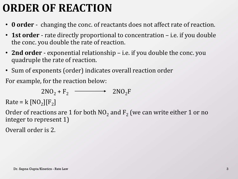# **ORDER OF REACTION**

- **0 order** changing the conc. of reactants does not affect rate of reaction.
- **1st order** rate directly proportional to concentration i.e. if you double the conc. you double the rate of reaction.
- **2nd order** exponential relationship i.e. if you double the conc. you quadruple the rate of reaction.
- Sum of exponents (order) indicates overall reaction order

For example, for the reaction below:

$$
2NO2 + F2 \longrightarrow 2NO2F
$$

 $Rate = k [NO<sub>2</sub>][F<sub>2</sub>]$ 

Order of reactions are 1 for both  $NO_2$  and  $F_2$  (we can write either 1 or no integer to represent 1)

Overall order is 2.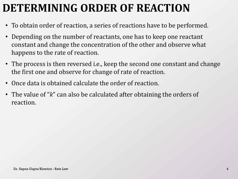# **DETERMINING ORDER OF REACTION**

- To obtain order of reaction, a series of reactions have to be performed.
- Depending on the number of reactants, one has to keep one reactant constant and change the concentration of the other and observe what happens to the rate of reaction.
- The process is then reversed i.e., keep the second one constant and change the first one and observe for change of rate of reaction.
- Once data is obtained calculate the order of reaction.
- The value of "*k*" can also be calculated after obtaining the orders of reaction.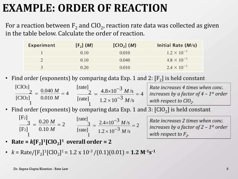#### **EXAMPLE: ORDER OF REACTION**

For a reaction between  $\rm F_2$  and ClO<sub>2</sub>, reaction rate data was collected as given in the table below. Calculate the order of reaction.

| <b>Experiment</b> | [F <sub>2</sub> ] (M) | $[ClO2]$ ( <i>M</i> ) | Initial Rate (M/s)   |
|-------------------|-----------------------|-----------------------|----------------------|
|                   | 0.10                  | 0.010                 | $1.2 \times 10^{-3}$ |
|                   | 0.10                  | 0.040                 | $4.8 \times 10^{-3}$ |
| $\mathbf{R}$      | 0.20                  | 0.010                 | $2.4 \times 10^{-3}$ |

• Find order (exponents) by comparing data Exp. 1 and 2: 
$$
[F_2]
$$
 is held constant  $[CIO_2]$ \n $\frac{2}{[CIO_2]} = \frac{0.040 \, \text{M}}{0.010 \, \text{M}} = 4$ \n $\frac{[rate]}{[rate]} = \frac{4.8 \times 10^{-3} \, \text{M/s}}{1.2 \times 10^{-3} \, \text{M/s}} = 4$ \n $\frac{Rate \, increases \, 4 \, times \, when \, conc.}{inter \, increase \, by \, a \, factor \, of \, 4 - 1st \, order \, with \, respect \, to \, ClO2.$ 

• Find order (exponents) by comparing data Exp. 1 and 3:  $[ClO<sub>2</sub>]$  is held constant

$$
\frac{[F_2]}{[F_2]} = \frac{0.20 \text{ M}}{0.10 \text{ M}} = 2 \qquad \frac{[\text{rate}]}{[\text{rate}]} = \frac{2.4 \times 10^{-3} \text{ M/s}}{1.2 \times 10^{-3} \text{ M/s}} = 2
$$

*Rate increases 2 times when conc. increases by a factor of 2 – 1 st order with respect to*  $F_2$ *. .*

- **Rate =**  $k[F_2]^1$ [ClO<sub>2</sub>]<sup>1</sup> **overall order = 2**
- $k = \text{Rate}/[\text{F}_2]^1[\text{ClO}_2]^1 = 1.2 \times 10^{-3}/(0.1)(0.01) = 1.2 \text{ M}^{-1}\text{s}^{-1}$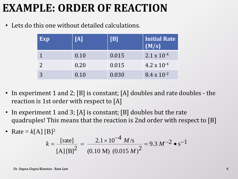#### **EXAMPLE: ORDER OF REACTION**

• Lets do this one without detailed calculations.

| Exp | $\vert\vert A \vert\vert$ | VB    | Initial Rate<br>(M/s) |
|-----|---------------------------|-------|-----------------------|
|     | 0.10                      | 0.015 | $2.1 \times 10^{-4}$  |
|     | 0.20                      | 0.015 | $4.2 \times 10^{-4}$  |
|     | 0.10                      | 0.030 | $8.4 \times 10^{-2}$  |

- In experiment 1 and 2; [B] is constant; [A] doubles and rate doubles the reaction is 1st order with respect to [A]
- In experiment 1 and 3; [A] is constant; [B] doubles but the rate quadruples! This means that the reaction is 2nd order with respect to [B]
- Rate =  $k[A]$  [B]<sup>2</sup>

This means that the reaction is 2nd order with respect to [B]  
\n[B]<sup>2</sup>  
\n
$$
k = \frac{[\text{rate}]}{[A][B]^2} = \frac{2.1 \times 10^{-4} M/s}{(0.10 M) (0.015 M)^2} = 9.3 M^{-2} \cdot s^{-1}
$$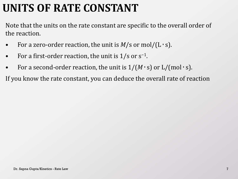### **UNITS OF RATE CONSTANT**

Note that the units on the rate constant are specific to the overall order of the reaction.

- For a zero-order reaction, the unit is  $M/s$  or mol/(L  $\cdot$  s).
- For a first-order reaction, the unit is  $1/s$  or  $s^{-1}$ .
- For a second-order reaction, the unit is  $1/(M \cdot s)$  or  $L/(mol \cdot s)$ .

If you know the rate constant, you can deduce the overall rate of reaction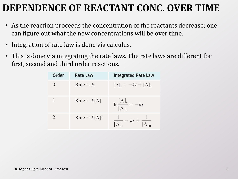#### **DEPENDENCE OF REACTANT CONC. OVER TIME**

- As the reaction proceeds the concentration of the reactants decrease; one can figure out what the new concentrations will be over time.
- Integration of rate law is done via calculus.
- This is done via integrating the rate laws. The rate laws are different for first, second and third order reactions.

| Order | <b>Rate Law</b> | <b>Integrated Rate Law</b>               |
|-------|-----------------|------------------------------------------|
|       | $Rate = k$      | $[A]_t = -kt + [A]_0$                    |
|       | $Rate = k[A]$   | $\ln \frac{[A]_t}{[A]_0} = -kt$          |
|       | Rate = $k[A]^2$ | $\frac{1}{[A]_t} = kt + \frac{1}{[A]_0}$ |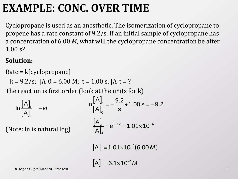#### **EXAMPLE: CONC. OVER TIME**

Cyclopropane is used as an anesthetic. The isomerization of cyclopropane to propene has a rate constant of 9.2/s. If an initial sample of cyclopropane has a concentration of 6.00 *M*, what will the cyclopropane concentration be after 1.00 s?

#### **Solution:**

Rate = k[cyclopropane]

$$
k = 9.2/s
$$
;  $[A]0 = 6.00 M$ ;  $t = 1.00 s$ ,  $[A]t = ?$ 

The reaction is first order (look at the units for k)

$$
\ln\frac{[A]_t}{[A]_0} = -kt
$$
\n
$$
\ln\frac{[A]_t}{[A]_0} = -\frac{9.2}{s} \cdot 1.00 \text{ s} = -9.2
$$

(Note: ln is natural log)

$$
\frac{[A]_t}{[A]_0} = e^{-9.2} = 1.01 \times 10^{-4}
$$

 $[A]_t = 1.01 \times 10^{-4} (6.00 M)$ 

 $\left[ \mathsf{A} \right]_t =$  6.1 $\times$ 10<sup>-4</sup> M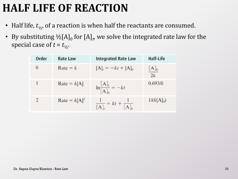# **HALF LIFE OF REACTION**

- Half life,  $t_{1/2}$ , of a reaction is when half the reactants are consumed.
- By substituting  $\frac{1}{2}$ [A]<sub>0</sub> for [A]<sub>t</sub>, we solve the integrated rate law for the special case of  $t = t_{1/2}$ .

| Order         | <b>Rate Law</b> | <b>Integrated Rate Law</b>               | <b>Half-Life</b>   |
|---------------|-----------------|------------------------------------------|--------------------|
|               | Rate = $k$      | $[A]_t = -kt + [A]_0$                    | $\frac{[A]_0}{2k}$ |
|               | $Rate = k[A]$   | $\ln \frac{[A]_t}{[A]_0} = -kt$          | 0.693/k            |
| $\mathcal{D}$ | Rate = $k[A]^2$ | $\frac{1}{[A]_t} = kt + \frac{1}{[A]_0}$ | $1/(k[A]_0)$       |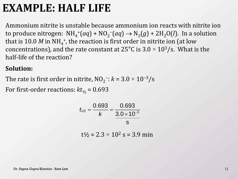#### **EXAMPLE: HALF LIFE**

Ammonium nitrite is unstable because ammonium ion reacts with nitrite ion to produce nitrogen:  $NH_4^+(aq) + NO_2^-(aq) \rightarrow N_2(g) + 2H_2O(l)$ . In a solution that is 10.0  $M$  in NH<sub>4</sub><sup>+</sup>, the reaction is first order in nitrite ion (at low concentrations), and the rate constant at 25°C is 3.0  $\times$  10<sup>3</sup>/s. What is the half-life of the reaction?

#### **Solution:**

The rate is first order in nitrite,  $NO<sub>2</sub><sup>-</sup>: k = 3.0 \times 10<sup>-3</sup>/s$ 

For first-order reactions:  $kt_{1/2} = 0.693$ 

$$
t_{1/2} = \frac{0.693}{k} = \frac{0.693}{\frac{3.0 \times 10^{-3}}{s}}
$$

 $t\frac{1}{6}$  = 2.3 × 10<sup>2</sup> s = 3.9 min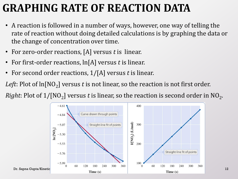### **GRAPHING RATE OF REACTION DATA**

- A reaction is followed in a number of ways, however, one way of telling the rate of reaction without doing detailed calculations is by graphing the data or the change of concentration over time.
- For zero-order reactions, [A] versus *t* is linear.
- For first-order reactions, ln[A] versus *t* is linear.
- For second order reactions, 1/[A] versus *t* is linear.

*Left*: Plot of ln[NO<sub>2</sub>] versus  $t$  is not linear, so the reaction is not first order.

*Right*: Plot of  $1/[\mathrm{NO_2}]$  versus  $t$  is linear, so the reaction is second order in  $\mathrm{NO_2}.$ 

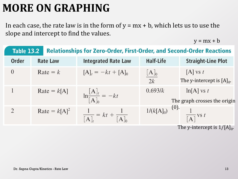# **MORE ON GRAPHING**

In each case, the rate law is in the form of  $y = mx + b$ , which lets us to use the slope and intercept to find the values.

 $y = mx + b$ 

| <b>Table 13.2</b><br><b>Relationships for Zero-Order, First-Order, and Second-Order Reactions</b> |                 |                                          |                          |                                               |
|---------------------------------------------------------------------------------------------------|-----------------|------------------------------------------|--------------------------|-----------------------------------------------|
| Order                                                                                             | <b>Rate Law</b> | <b>Integrated Rate Law</b>               | <b>Half-Life</b>         | <b>Straight-Line Plot</b>                     |
| $\theta$                                                                                          | Rate = $k$      | $[A]_t = -kt + [A]_0$                    | $\frac{[{\rm A}]_0}{2k}$ | $[A]$ vs t<br>The y-intercept is $[A]_0$ .    |
|                                                                                                   | $Rate = k[A]$   | $\ln \frac{[A]_t}{[A]_0} = -kt$          | 0.693/k                  | $\ln[A]$ vs t<br>The graph crosses the origin |
| $\overline{2}$                                                                                    | Rate = $k[A]^2$ | $\frac{1}{[A]_t} = kt + \frac{1}{[A]_0}$ | $1/(k[A]_0)$ (0).        | $\frac{1}{\lceil A \rceil}$ vs t              |

The y-intercept is  $1/[{\rm A}]_0$ .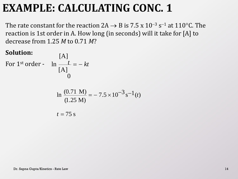#### **EXAMPLE: CALCULATING CONC. 1**

The rate constant for the reaction 2A  $\rightarrow$  B is 7.5 x 10<sup>-3</sup> s<sup>-1</sup> at 110°C. The reaction is 1st order in A. How long (in seconds) will it take for [A] to decrease from 1.25 *M* to 0.71 *M*?

#### **Solution:**

For 1<sup>st</sup> order -  $\ln \frac{t}{\ln t} = -kt$  $[A]$  $[A]$ 0

$$
\ln \frac{(0.71 \text{ M})}{(1.25 \text{ M})} = -7.5 \times 10^{-3} \text{ s}^{-1}(t)
$$
  

$$
t = 75 \text{ s}
$$

*t*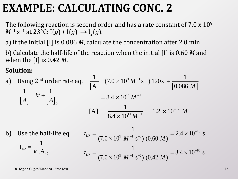### **EXAMPLE: CALCULATING CONC. 2**

The following reaction is second order and has a rate constant of  $7.0 \times 10^9$  $M^{-1}$  s<sup>-1</sup> at 23°C: I(*g*) + I(*g*)  $\rightarrow$  I<sub>2</sub>(*g*).

a) If the initial [I] is 0.086 *M*, calculate the concentration after 2.0 min.

b) Calculate the half-life of the reaction when the initial [I] is 0.60 *M* and when the [I] is 0.42 *M*.

#### **Solution:**

**Solution:**  
\na) Using 2<sup>nd</sup> order rate eq. 
$$
\frac{1}{[A]} = (7.0 \times 10^{9} M^{-1} s^{-1}) 120s + \frac{1}{[0.086 M]}
$$
\n
$$
\frac{1}{[A]} = kt + \frac{1}{[A]}_0
$$
\n
$$
[A] = \frac{1}{8.4 \times 10^{11} M^{-1}} = 1.2 \times 10^{-12} M
$$
\nb) Use the half-life eq. 
$$
t_{1/2} = \frac{1}{(7.0 \times 10^{9} M^{-1} s^{-1}) (0.60 M)} = 2.4 \times 10^{-10} s
$$
\n
$$
t_{1/2} = \frac{1}{(7.0 \times 10^{9} M^{-1} s^{-1}) (0.42 M)} = 3.4 \times 10^{-10} s
$$